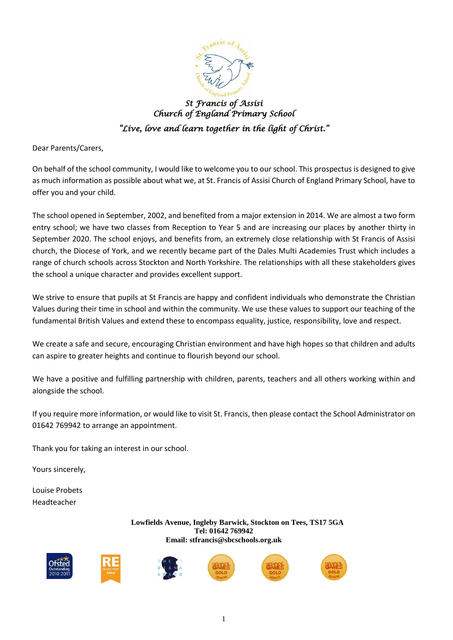

*St Francis of Assisi Church of England Primary School "Live, love and learn together in the light of Christ."* 

Dear Parents/Carers,

On behalf of the school community, I would like to welcome you to our school. This prospectus is designed to give as much information as possible about what we, at St. Francis of Assisi Church of England Primary School, have to offer you and your child.

The school opened in September, 2002, and benefited from a major extension in 2014. We are almost a two form entry school; we have two classes from Reception to Year 5 and are increasing our places by another thirty in September 2020. The school enjoys, and benefits from, an extremely close relationship with St Francis of Assisi church, the Diocese of York, and we recently became part of the Dales Multi Academies Trust which includes a range of church schools across Stockton and North Yorkshire. The relationships with all these stakeholders gives the school a unique character and provides excellent support.

We strive to ensure that pupils at St Francis are happy and confident individuals who demonstrate the Christian Values during their time in school and within the community. We use these values to support our teaching of the fundamental British Values and extend these to encompass equality, justice, responsibility, love and respect.

We create a safe and secure, encouraging Christian environment and have high hopes so that children and adults can aspire to greater heights and continue to flourish beyond our school.

We have a positive and fulfilling partnership with children, parents, teachers and all others working within and alongside the school.

If you require more information, or would like to visit St. Francis, then please contact the School Administrator on 01642 769942 to arrange an appointment.

Thank you for taking an interest in our school.

Yours sincerely,

Louise Probets Headteacher

> **Lowfields Avenue, Ingleby Barwick, Stockton on Tees, TS17 5GA Tel: 01642 769942 Email: stfrancis@sbcschools.org.uk**









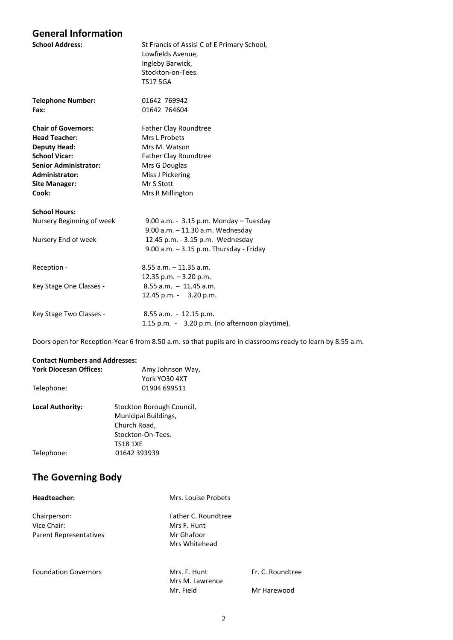#### **General Information**

| <b>School Address:</b>       | St Francis of Assisi C of E Primary School,<br>Lowfields Avenue,<br>Ingleby Barwick,<br>Stockton-on-Tees.<br><b>TS17 5GA</b> |
|------------------------------|------------------------------------------------------------------------------------------------------------------------------|
| <b>Telephone Number:</b>     | 01642 769942                                                                                                                 |
| Fax:                         | 01642 764604                                                                                                                 |
| <b>Chair of Governors:</b>   | <b>Father Clay Roundtree</b>                                                                                                 |
| <b>Head Teacher:</b>         | Mrs L Probets                                                                                                                |
| <b>Deputy Head:</b>          | Mrs M. Watson                                                                                                                |
| <b>School Vicar:</b>         | Father Clay Roundtree                                                                                                        |
| <b>Senior Administrator:</b> | Mrs G Douglas                                                                                                                |
| Administrator:               | Miss J Pickering                                                                                                             |
| <b>Site Manager:</b>         | Mr S Stott                                                                                                                   |
| Cook:                        | Mrs R Millington                                                                                                             |
| <b>School Hours:</b>         |                                                                                                                              |
| Nursery Beginning of week    | 9.00 a.m. - 3.15 p.m. Monday - Tuesday                                                                                       |
|                              | 9.00 a.m. - 11.30 a.m. Wednesday                                                                                             |
| Nursery End of week          | 12.45 p.m. - 3.15 p.m. Wednesday                                                                                             |
|                              | $9.00$ a.m. $-3.15$ p.m. Thursday - Friday                                                                                   |
| Reception -                  | $8.55$ a.m. $-11.35$ a.m.                                                                                                    |
|                              | 12.35 p.m. - 3.20 p.m.                                                                                                       |
| Key Stage One Classes -      | $8.55$ a.m. $-11.45$ a.m.                                                                                                    |
|                              | 12.45 p.m. - 3.20 p.m.                                                                                                       |
| Key Stage Two Classes -      | 8.55 a.m. - 12.15 p.m.                                                                                                       |
|                              | 1.15 p.m. - 3.20 p.m. (no afternoon playtime).                                                                               |
|                              |                                                                                                                              |

Doors open for Reception-Year 6 from 8.50 a.m. so that pupils are in classrooms ready to learn by 8.55 a.m.

#### **Contact Numbers and Addresses:**

| <b>York Diocesan Offices:</b> | Amy Johnson Way,          |
|-------------------------------|---------------------------|
|                               | York YO30 4XT             |
| Telephone:                    | 01904 699511              |
| <b>Local Authority:</b>       | Stockton Borough Council, |
|                               | Municipal Buildings,      |
|                               | Church Road,              |
|                               | Stockton-On-Tees.         |
|                               | <b>TS18 1XE</b>           |
| Telephone:                    | 01642 393939              |

### **The Governing Body**

| Headteacher:                                          | Mrs. Louise Probets                                               |                                 |  |
|-------------------------------------------------------|-------------------------------------------------------------------|---------------------------------|--|
| Chairperson:<br>Vice Chair:<br>Parent Representatives | Father C. Roundtree<br>Mrs F. Hunt<br>Mr Ghafoor<br>Mrs Whitehead |                                 |  |
| <b>Foundation Governors</b>                           | Mrs. F. Hunt<br>Mrs M. Lawrence<br>Mr. Field                      | Fr. C. Roundtree<br>Mr Harewood |  |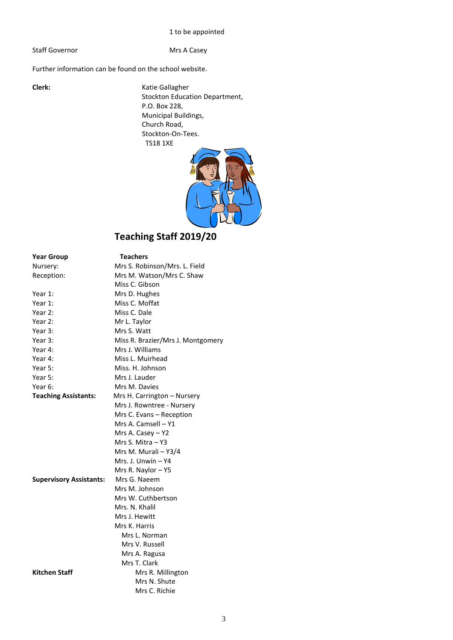#### 1 to be appointed

Staff Governor **Mrs A Casey** 

Further information can be found on the school website.

**Clerk:** Katie Gallagher Stockton Education Department, P.O. Box 228, Municipal Buildings, Church Road, Stockton-On-Tees. TS18 1XE



## **Teaching Staff 2019/20**

| <b>Year Group</b>              | Teachers                          |  |  |
|--------------------------------|-----------------------------------|--|--|
| Nursery:                       | Mrs S. Robinson/Mrs. L. Field     |  |  |
| Reception:                     | Mrs M. Watson/Mrs C. Shaw         |  |  |
|                                | Miss C. Gibson                    |  |  |
| Year 1:                        | Mrs D. Hughes                     |  |  |
| Year 1:                        | Miss C. Moffat                    |  |  |
| Year 2:                        | Miss C. Dale                      |  |  |
| Year 2:                        | Mr L. Taylor                      |  |  |
| Year 3:                        | Mrs S. Watt                       |  |  |
| Year 3:                        | Miss R. Brazier/Mrs J. Montgomery |  |  |
| Year 4:                        | Mrs J. Williams                   |  |  |
| Year 4:                        | Miss L. Muirhead                  |  |  |
| Year 5:                        | Miss. H. Johnson                  |  |  |
| Year 5:                        | Mrs J. Lauder                     |  |  |
| Year 6:                        | Mrs M. Davies                     |  |  |
| <b>Teaching Assistants:</b>    | Mrs H. Carrington - Nursery       |  |  |
|                                | Mrs J. Rowntree - Nursery         |  |  |
|                                | Mrs C. Evans - Reception          |  |  |
|                                | Mrs A. Camsell – Y1               |  |  |
|                                | Mrs A. Casey - Y2                 |  |  |
|                                | Mrs S. Mitra – Y3                 |  |  |
|                                | Mrs M. Murali - Y3/4              |  |  |
|                                | Mrs. J. Unwin – Y4                |  |  |
|                                | Mrs R. Naylor - Y5                |  |  |
| <b>Supervisory Assistants:</b> | Mrs G. Naeem                      |  |  |
|                                | Mrs M. Johnson                    |  |  |
|                                | Mrs W. Cuthbertson                |  |  |
|                                | Mrs. N. Khalil                    |  |  |
|                                | Mrs J. Hewitt                     |  |  |
|                                | Mrs K. Harris                     |  |  |
|                                | Mrs L. Norman                     |  |  |
|                                | Mrs V. Russell                    |  |  |
|                                | Mrs A. Ragusa                     |  |  |
|                                | Mrs T. Clark                      |  |  |
| <b>Kitchen Staff</b>           | Mrs R. Millington                 |  |  |
|                                | Mrs N. Shute                      |  |  |
|                                | Mrs C. Richie                     |  |  |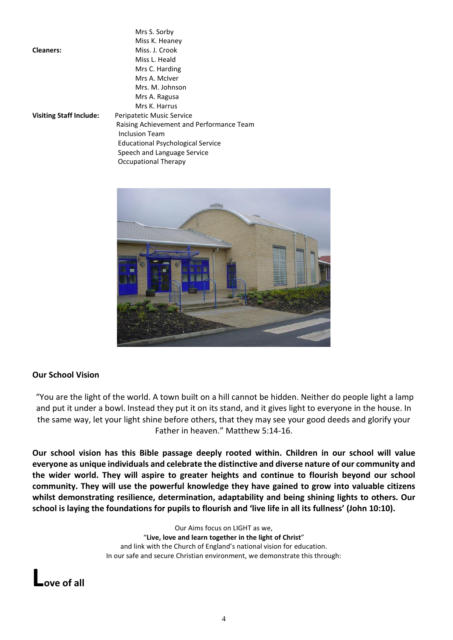|                                | Mrs S. Sorby                             |
|--------------------------------|------------------------------------------|
|                                | Miss K. Heaney                           |
| <b>Cleaners:</b>               | Miss. J. Crook                           |
|                                | Miss L. Heald                            |
|                                | Mrs C. Harding                           |
|                                | Mrs A. McIver                            |
|                                | Mrs. M. Johnson                          |
|                                | Mrs A. Ragusa                            |
|                                | Mrs K. Harrus                            |
| <b>Visiting Staff Include:</b> | Peripatetic Music Service                |
|                                | Raising Achievement and Performance Team |
|                                | Inclusion Team                           |
|                                | <b>Educational Psychological Service</b> |
|                                | Speech and Language Service              |
|                                | Occupational Therapy                     |



#### **Our School Vision**

"You are the light of the world. A town built on a hill cannot be hidden. Neither do people light a lamp and put it under a bowl. Instead they put it on its stand, and it gives light to everyone in the house. In the same way, let your light shine before others, that they may see your good deeds and glorify your Father in heaven." Matthew 5:14-16.

**Our school vision has this Bible passage deeply rooted within. Children in our school will value everyone as unique individuals and celebrate the distinctive and diverse nature of our community and the wider world. They will aspire to greater heights and continue to flourish beyond our school community. They will use the powerful knowledge they have gained to grow into valuable citizens whilst demonstrating resilience, determination, adaptability and being shining lights to others. Our** school is laying the foundations for pupils to flourish and 'live life in all its fullness' (John 10:10).

> Our Aims focus on LIGHT as we, "**Live, love and learn together in the light of Christ**" and link with the Church of England's national vision for education. In our safe and secure Christian environment, we demonstrate this through:

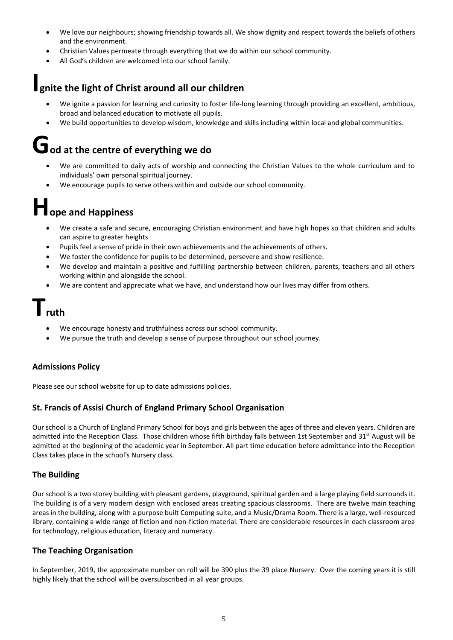- We love our neighbours; showing friendship towards all. We show dignity and respect towards the beliefs of others and the environment.
- Christian Values permeate through everything that we do within our school community.
- All God's children are welcomed into our school family.

## **Ignite the light of Christ around all our children**

- We ignite a passion for learning and curiosity to foster life-long learning through providing an excellent, ambitious, broad and balanced education to motivate all pupils.
- We build opportunities to develop wisdom, knowledge and skills including within local and global communities.

# **God at the centre of everything we do**

- We are committed to daily acts of worship and connecting the Christian Values to the whole curriculum and to individuals' own personal spiritual journey.
- We encourage pupils to serve others within and outside our school community.

# **Hope and Happiness**

- We create a safe and secure, encouraging Christian environment and have high hopes so that children and adults can aspire to greater heights
- Pupils feel a sense of pride in their own achievements and the achievements of others.
- We foster the confidence for pupils to be determined, persevere and show resilience.
- We develop and maintain a positive and fulfilling partnership between children, parents, teachers and all others working within and alongside the school.
- We are content and appreciate what we have, and understand how our lives may differ from others.

## **Truth**

- We encourage honesty and truthfulness across our school community.
- We pursue the truth and develop a sense of purpose throughout our school journey.

#### **Admissions Policy**

Please see our school website for up to date admissions policies.

#### **St. Francis of Assisi Church of England Primary School Organisation**

Our school is a Church of England Primary School for boys and girls between the ages of three and eleven years. Children are admitted into the Reception Class. Those children whose fifth birthday falls between 1st September and 31<sup>st</sup> August will be admitted at the beginning of the academic year in September. All part time education before admittance into the Reception Class takes place in the school's Nursery class.

#### **The Building**

Our school is a two storey building with pleasant gardens, playground, spiritual garden and a large playing field surrounds it. The building is of a very modern design with enclosed areas creating spacious classrooms. There are twelve main teaching areas in the building, along with a purpose built Computing suite, and a Music/Drama Room. There is a large, well-resourced library, containing a wide range of fiction and non-fiction material. There are considerable resources in each classroom area for technology, religious education, literacy and numeracy.

#### **The Teaching Organisation**

In September, 2019, the approximate number on roll will be 390 plus the 39 place Nursery. Over the coming years it is still highly likely that the school will be oversubscribed in all year groups.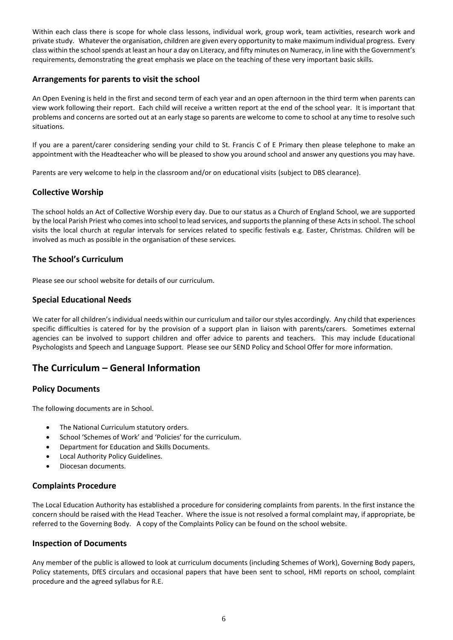Within each class there is scope for whole class lessons, individual work, group work, team activities, research work and private study. Whatever the organisation, children are given every opportunity to make maximum individual progress. Every class within the school spends at least an hour a day on Literacy, and fifty minutes on Numeracy, in line with the Government's requirements, demonstrating the great emphasis we place on the teaching of these very important basic skills.

#### **Arrangements for parents to visit the school**

An Open Evening is held in the first and second term of each year and an open afternoon in the third term when parents can view work following their report. Each child will receive a written report at the end of the school year. It is important that problems and concerns are sorted out at an early stage so parents are welcome to come to school at any time to resolve such situations.

If you are a parent/carer considering sending your child to St. Francis C of E Primary then please telephone to make an appointment with the Headteacher who will be pleased to show you around school and answer any questions you may have.

Parents are very welcome to help in the classroom and/or on educational visits (subject to DBS clearance).

#### **Collective Worship**

The school holds an Act of Collective Worship every day. Due to our status as a Church of England School, we are supported by the local Parish Priest who comes into school to lead services, and supports the planning of these Acts in school. The school visits the local church at regular intervals for services related to specific festivals e.g. Easter, Christmas. Children will be involved as much as possible in the organisation of these services.

#### **The School's Curriculum**

Please see our school website for details of our curriculum.

#### **Special Educational Needs**

We cater for all children's individual needs within our curriculum and tailor our styles accordingly. Any child that experiences specific difficulties is catered for by the provision of a support plan in liaison with parents/carers. Sometimes external agencies can be involved to support children and offer advice to parents and teachers. This may include Educational Psychologists and Speech and Language Support. Please see our SEND Policy and School Offer for more information.

#### **The Curriculum – General Information**

#### **Policy Documents**

The following documents are in School.

- The National Curriculum statutory orders.
- School 'Schemes of Work' and 'Policies' for the curriculum.
- Department for Education and Skills Documents.
- Local Authority Policy Guidelines.
- Diocesan documents.

#### **Complaints Procedure**

The Local Education Authority has established a procedure for considering complaints from parents. In the first instance the concern should be raised with the Head Teacher. Where the issue is not resolved a formal complaint may, if appropriate, be referred to the Governing Body. A copy of the Complaints Policy can be found on the school website.

#### **Inspection of Documents**

Any member of the public is allowed to look at curriculum documents (including Schemes of Work), Governing Body papers, Policy statements, DfES circulars and occasional papers that have been sent to school, HMI reports on school, complaint procedure and the agreed syllabus for R.E.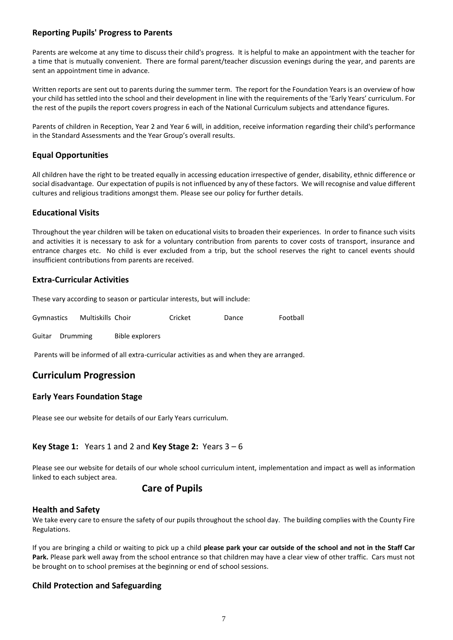#### **Reporting Pupils' Progress to Parents**

Parents are welcome at any time to discuss their child's progress. It is helpful to make an appointment with the teacher for a time that is mutually convenient. There are formal parent/teacher discussion evenings during the year, and parents are sent an appointment time in advance.

Written reports are sent out to parents during the summer term. The report for the Foundation Years is an overview of how your child has settled into the school and their development in line with the requirements of the 'Early Years' curriculum. For the rest of the pupils the report covers progress in each of the National Curriculum subjects and attendance figures.

Parents of children in Reception, Year 2 and Year 6 will, in addition, receive information regarding their child's performance in the Standard Assessments and the Year Group's overall results.

#### **Equal Opportunities**

All children have the right to be treated equally in accessing education irrespective of gender, disability, ethnic difference or social disadvantage. Our expectation of pupils is not influenced by any of these factors. We will recognise and value different cultures and religious traditions amongst them. Please see our policy for further details.

#### **Educational Visits**

Throughout the year children will be taken on educational visits to broaden their experiences. In order to finance such visits and activities it is necessary to ask for a voluntary contribution from parents to cover costs of transport, insurance and entrance charges etc. No child is ever excluded from a trip, but the school reserves the right to cancel events should insufficient contributions from parents are received.

#### **Extra-Curricular Activities**

These vary according to season or particular interests, but will include:

| Gymnastics | Multiskills Choir | Cricket | Dance | Football |
|------------|-------------------|---------|-------|----------|
|            |                   |         |       |          |

Guitar Drumming Bible explorers

Parents will be informed of all extra-curricular activities as and when they are arranged.

#### **Curriculum Progression**

#### **Early Years Foundation Stage**

Please see our website for details of our Early Years curriculum.

#### **Key Stage 1:** Years 1 and 2 and **Key Stage 2:** Years 3 – 6

Please see our website for details of our whole school curriculum intent, implementation and impact as well as information linked to each subject area.

#### **Care of Pupils**

#### **Health and Safety**

We take every care to ensure the safety of our pupils throughout the school day. The building complies with the County Fire Regulations.

If you are bringing a child or waiting to pick up a child **please park your car outside of the school and not in the Staff Car Park.** Please park well away from the school entrance so that children may have a clear view of other traffic. Cars must not be brought on to school premises at the beginning or end of school sessions.

#### **Child Protection and Safeguarding**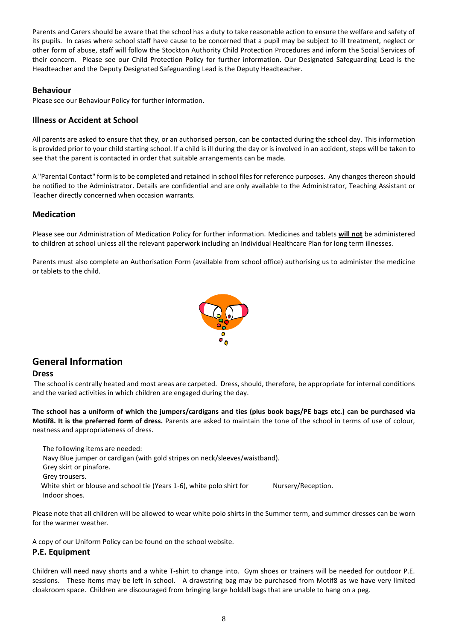Parents and Carers should be aware that the school has a duty to take reasonable action to ensure the welfare and safety of its pupils. In cases where school staff have cause to be concerned that a pupil may be subject to ill treatment, neglect or other form of abuse, staff will follow the Stockton Authority Child Protection Procedures and inform the Social Services of their concern. Please see our Child Protection Policy for further information. Our Designated Safeguarding Lead is the Headteacher and the Deputy Designated Safeguarding Lead is the Deputy Headteacher.

#### **Behaviour**

Please see our Behaviour Policy for further information.

#### **Illness or Accident at School**

All parents are asked to ensure that they, or an authorised person, can be contacted during the school day. This information is provided prior to your child starting school. If a child is ill during the day or is involved in an accident, steps will be taken to see that the parent is contacted in order that suitable arrangements can be made.

A "Parental Contact" form is to be completed and retained in school files for reference purposes. Any changes thereon should be notified to the Administrator. Details are confidential and are only available to the Administrator, Teaching Assistant or Teacher directly concerned when occasion warrants.

#### **Medication**

Please see our Administration of Medication Policy for further information. Medicines and tablets **will not** be administered to children at school unless all the relevant paperwork including an Individual Healthcare Plan for long term illnesses.

Parents must also complete an Authorisation Form (available from school office) authorising us to administer the medicine or tablets to the child.



#### **General Information**

#### **Dress**

The school is centrally heated and most areas are carpeted. Dress, should, therefore, be appropriate for internal conditions and the varied activities in which children are engaged during the day.

**The school has a uniform of which the jumpers/cardigans and ties (plus book bags/PE bags etc.) can be purchased via Motif8. It is the preferred form of dress.** Parents are asked to maintain the tone of the school in terms of use of colour, neatness and appropriateness of dress.

 The following items are needed: Navy Blue jumper or cardigan (with gold stripes on neck/sleeves/waistband). Grey skirt or pinafore. Grey trousers. White shirt or blouse and school tie (Years 1-6), white polo shirt for Nursery/Reception. Indoor shoes.

Please note that all children will be allowed to wear white polo shirts in the Summer term, and summer dresses can be worn for the warmer weather.

A copy of our Uniform Policy can be found on the school website.

#### **P.E. Equipment**

Children will need navy shorts and a white T-shirt to change into. Gym shoes or trainers will be needed for outdoor P.E. sessions. These items may be left in school. A drawstring bag may be purchased from Motif8 as we have very limited cloakroom space. Children are discouraged from bringing large holdall bags that are unable to hang on a peg.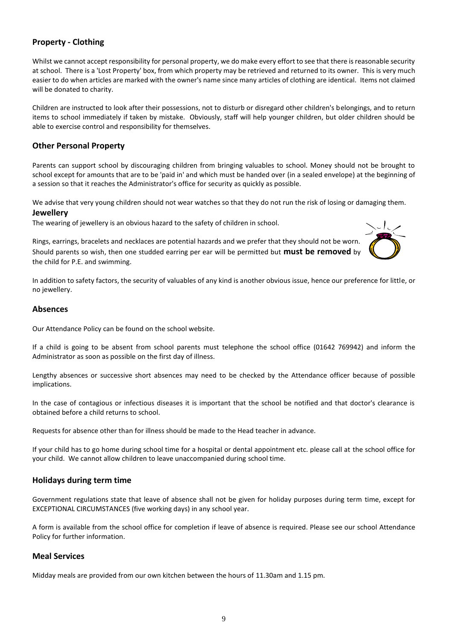#### **Property - Clothing**

Whilst we cannot accept responsibility for personal property, we do make every effort to see that there is reasonable security at school. There is a 'Lost Property' box, from which property may be retrieved and returned to its owner. This is very much easier to do when articles are marked with the owner's name since many articles of clothing are identical. Items not claimed will be donated to charity.

Children are instructed to look after their possessions, not to disturb or disregard other children's belongings, and to return items to school immediately if taken by mistake. Obviously, staff will help younger children, but older children should be able to exercise control and responsibility for themselves.

#### **Other Personal Property**

Parents can support school by discouraging children from bringing valuables to school. Money should not be brought to school except for amounts that are to be 'paid in' and which must be handed over (in a sealed envelope) at the beginning of a session so that it reaches the Administrator's office for security as quickly as possible.

We advise that very young children should not wear watches so that they do not run the risk of losing or damaging them. **Jewellery**

The wearing of jewellery is an obvious hazard to the safety of children in school.

Rings, earrings, bracelets and necklaces are potential hazards and we prefer that they should not be worn. Should parents so wish, then one studded earring per ear will be permitted but **must be removed** by the child for P.E. and swimming.



In addition to safety factors, the security of valuables of any kind is another obvious issue, hence our preference for little, or no jewellery.

#### **Absences**

Our Attendance Policy can be found on the school website.

If a child is going to be absent from school parents must telephone the school office (01642 769942) and inform the Administrator as soon as possible on the first day of illness.

Lengthy absences or successive short absences may need to be checked by the Attendance officer because of possible implications.

In the case of contagious or infectious diseases it is important that the school be notified and that doctor's clearance is obtained before a child returns to school.

Requests for absence other than for illness should be made to the Head teacher in advance.

If your child has to go home during school time for a hospital or dental appointment etc. please call at the school office for your child. We cannot allow children to leave unaccompanied during school time.

#### **Holidays during term time**

Government regulations state that leave of absence shall not be given for holiday purposes during term time, except for EXCEPTIONAL CIRCUMSTANCES (five working days) in any school year.

A form is available from the school office for completion if leave of absence is required. Please see our school Attendance Policy for further information.

#### **Meal Services**

Midday meals are provided from our own kitchen between the hours of 11.30am and 1.15 pm.